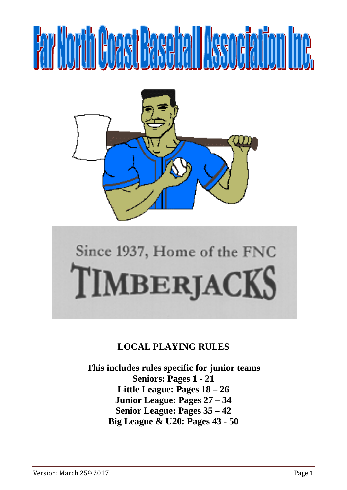# **FAY YOYA ROAST RASADA IT ISSUEMING.**



# Since 1937, Home of the FNC TIMBERIACKS

# **LOCAL PLAYING RULES**

**This includes rules specific for junior teams Seniors: Pages 1 - 21 Little League: Pages 18 – 26 Junior League: Pages 27 – 34 Senior League: Pages 35 – 42 Big League & U20: Pages 43 - 50**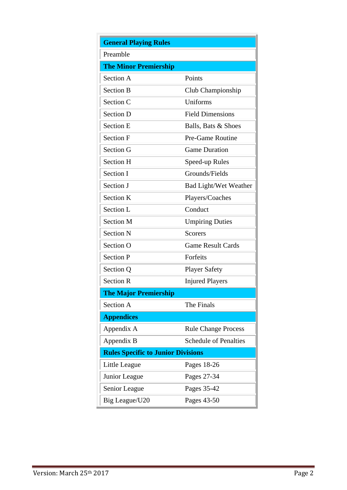| <b>General Playing Rules</b>              |                              |  |  |
|-------------------------------------------|------------------------------|--|--|
| Preamble                                  |                              |  |  |
| <b>The Minor Premiership</b>              |                              |  |  |
| Section A                                 | Points                       |  |  |
| <b>Section B</b>                          | Club Championship            |  |  |
| Section C                                 | Uniforms                     |  |  |
| <b>Section D</b>                          | <b>Field Dimensions</b>      |  |  |
| <b>Section E</b>                          | Balls, Bats & Shoes          |  |  |
| <b>Section F</b>                          | Pre-Game Routine             |  |  |
| Section G                                 | <b>Game Duration</b>         |  |  |
| <b>Section H</b>                          | Speed-up Rules               |  |  |
| Section I                                 | Grounds/Fields               |  |  |
| Section J                                 | <b>Bad Light/Wet Weather</b> |  |  |
| <b>Section K</b>                          | Players/Coaches              |  |  |
| Section L                                 | Conduct                      |  |  |
| <b>Section M</b>                          | <b>Umpiring Duties</b>       |  |  |
| <b>Section N</b>                          | <b>Scorers</b>               |  |  |
| Section O                                 | <b>Game Result Cards</b>     |  |  |
| <b>Section P</b>                          | Forfeits                     |  |  |
| Section Q                                 | <b>Player Safety</b>         |  |  |
| <b>Section R</b>                          | <b>Injured Players</b>       |  |  |
| <b>The Major Premiership</b>              |                              |  |  |
| Section A                                 | The Finals                   |  |  |
| <b>Appendices</b>                         |                              |  |  |
| Appendix A                                | <b>Rule Change Process</b>   |  |  |
| Appendix B                                | <b>Schedule of Penalties</b> |  |  |
| <b>Rules Specific to Junior Divisions</b> |                              |  |  |
| Little League                             | Pages 18-26                  |  |  |
| Junior League                             | Pages 27-34                  |  |  |
| Senior League                             | Pages 35-42                  |  |  |
| Big League/U20                            | Pages 43-50                  |  |  |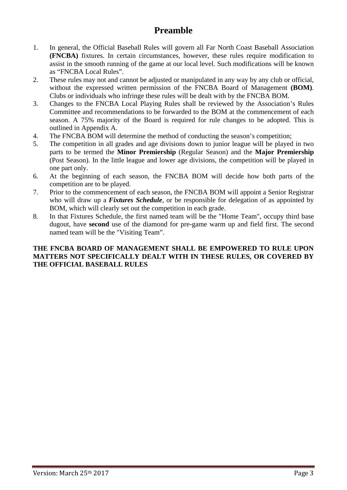# **Preamble**

- 1. In general, the Official Baseball Rules will govern all Far North Coast Baseball Association **(FNCBA)** fixtures. In certain circumstances, however, these rules require modification to assist in the smooth running of the game at our local level. Such modifications will be known as "FNCBA Local Rules".
- 2. These rules may not and cannot be adjusted or manipulated in any way by any club or official, without the expressed written permission of the FNCBA Board of Management **(BOM)**. Clubs or individuals who infringe these rules will be dealt with by the FNCBA BOM.
- 3. Changes to the FNCBA Local Playing Rules shall be reviewed by the Association's Rules Committee and recommendations to be forwarded to the BOM at the commencement of each season. A 75% majority of the Board is required for rule changes to be adopted. This is outlined in Appendix A.
- 4. The FNCBA BOM will determine the method of conducting the season's competition;
- 5. The competition in all grades and age divisions down to junior league will be played in two parts to be termed the **Minor Premiership** (Regular Season) and the **Major Premiership**  (Post Season). In the little league and lower age divisions, the competition will be played in one part only.
- 6. At the beginning of each season, the FNCBA BOM will decide how both parts of the competition are to be played.
- 7. Prior to the commencement of each season, the FNCBA BOM will appoint a Senior Registrar who will draw up a *Fixtures Schedule*, or be responsible for delegation of as appointed by BOM, which will clearly set out the competition in each grade.
- 8. In that Fixtures Schedule, the first named team will be the "Home Team", occupy third base dugout, have **second** use of the diamond for pre-game warm up and field first. The second named team will be the "Visiting Team".

#### **THE FNCBA BOARD OF MANAGEMENT SHALL BE EMPOWERED TO RULE UPON MATTERS NOT SPECIFICALLY DEALT WITH IN THESE RULES, OR COVERED BY THE OFFICIAL BASEBALL RULES**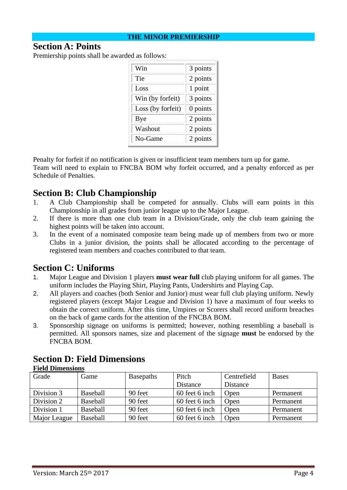#### **THE MINOR PREMIERSHIP**

#### **Section A: Points**

Premiership points shall be awarded as follows:

| Win               | 3 points   |
|-------------------|------------|
| Tie               | 2 points   |
| Loss              | 1 point    |
| Win (by forfeit)  | 3 points   |
| Loss (by forfeit) | $0$ points |
| Bye               | 2 points   |
| Washout           | 2 points   |
| No-Game           | 2 points   |

Penalty for forfeit if no notification is given or insufficient team members turn up for game.

Team will need to explain to FNCBA BOM why forfeit occurred, and a penalty enforced as per Schedule of Penalties.

# **Section B: Club Championship**

- 1. A Club Championship shall be competed for annually. Clubs will earn points in this Championship in all grades from junior league up to the Major League.
- 2. If there is more than one club team in a Division/Grade, only the club team gaining the highest points will be taken into account.
- 3. In the event of a nominated composite team being made up of members from two or more Clubs in a junior division, the points shall be allocated according to the percentage of registered team members and coaches contributed to that team.

# **Section C: Uniforms**

- 1. Major League and Division 1 players **must wear full** club playing uniform for all games. The uniform includes the Playing Shirt, Playing Pants, Undershirts and Playing Cap.
- 2. All players and coaches (both Senior and Junior) must wear full club playing uniform. Newly registered players (except Major League and Division 1) have a maximum of four weeks to obtain the correct uniform. After this time, Umpires or Scorers shall record uniform breaches on the back of game cards for the attention of the FNCBA BOM.
- 3. Sponsorship signage on uniforms is permitted; however, nothing resembling a baseball is permitted. All sponsors names, size and placement of the signage **must** be endorsed by the FNCBA BOM.

| <b>Field Dimensions</b> |          |                  |                |             |              |
|-------------------------|----------|------------------|----------------|-------------|--------------|
| Grade                   | Game     | <b>Basepaths</b> | Pitch          | Centrefield | <b>Bases</b> |
|                         |          |                  | Distance       | Distance    |              |
| Division 3              | Baseball | 90 feet          | 60 feet 6 inch | Open        | Permanent    |
| Division 2              | Baseball | 90 feet          | 60 feet 6 inch | Open        | Permanent    |
| Division 1              | Baseball | 90 feet          | 60 feet 6 inch | Open        | Permanent    |
| Major League            | Baseball | 90 feet          | 60 feet 6 inch | Open        | Permanent    |

# **Section D: Field Dimensions**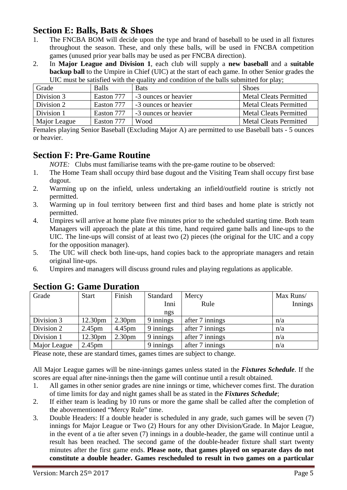# **Section E: Balls, Bats & Shoes**

- 1. The FNCBA BOM will decide upon the type and brand of baseball to be used in all fixtures throughout the season. These, and only these balls, will be used in FNCBA competition games (unused prior year balls may be used as per FNCBA direction).
- 2. In **Major League and Division 1**, each club will supply a **new baseball** and a **suitable backup ball** to the Umpire in Chief (UIC) at the start of each game. In other Senior grades the UIC must be satisfied with the quality and condition of the balls submitted for play;

| Grade        | <b>Balls</b> | <b>Bats</b>          | <b>Shoes</b>                  |
|--------------|--------------|----------------------|-------------------------------|
| Division 3   | Easton 777   | -3 ounces or heavier | <b>Metal Cleats Permitted</b> |
| Division 2   | Easton 777   | -3 ounces or heavier | <b>Metal Cleats Permitted</b> |
| Division 1   | Easton 777   | -3 ounces or heavier | <b>Metal Cleats Permitted</b> |
| Major League | Easton 777   | Wood                 | Metal Cleats Permitted        |

Females playing Senior Baseball (Excluding Major A) are permitted to use Baseball bats - 5 ounces or heavier.

# **Section F: Pre-Game Routine**

*NOTE:* Clubs must familiarise teams with the pre-game routine to be observed:

- 1. The Home Team shall occupy third base dugout and the Visiting Team shall occupy first base dugout.
- 2. Warming up on the infield, unless undertaking an infield/outfield routine is strictly not permitted.
- 3. Warming up in foul territory between first and third bases and home plate is strictly not permitted.
- 4. Umpires will arrive at home plate five minutes prior to the scheduled starting time. Both team Managers will approach the plate at this time, hand required game balls and line-ups to the UIC. The line-ups will consist of at least two (2) pieces (the original for the UIC and a copy for the opposition manager).
- 5. The UIC will check both line-ups, hand copies back to the appropriate managers and retain original line-ups.
- 6. Umpires and managers will discuss ground rules and playing regulations as applicable.

| Grade        | <b>Start</b>       | Finish             | Standard  | Mercy           | Max Runs/ |
|--------------|--------------------|--------------------|-----------|-----------------|-----------|
|              |                    |                    | Inni      | Rule            | Innings   |
|              |                    |                    | ngs       |                 |           |
| Division 3   | 12.30pm            | 2.30 <sub>pm</sub> | 9 innings | after 7 innings | n/a       |
| Division 2   | 2.45 <sub>pm</sub> | 4.45 <sub>pm</sub> | 9 innings | after 7 innings | n/a       |
| Division 1   | 12.30pm            | 2.30 <sub>pm</sub> | 9 innings | after 7 innings | n/a       |
| Major League | $2.45$ pm          |                    | 9 innings | after 7 innings | n/a       |

# **Section G: Game Duration**

Please note, these are standard times, games times are subject to change.

All Major League games will be nine-innings games unless stated in the *Fixtures Schedule*. If the scores are equal after nine-innings then the game will continue until a result obtained.

- 1. All games in other senior grades are nine innings or time, whichever comes first. The duration of time limits for day and night games shall be as stated in the *Fixtures Schedule*;
- 2. If either team is leading by 10 runs or more the game shall be called after the completion of the abovementioned "Mercy Rule" time.
- 3. Double Headers: If a double header is scheduled in any grade, such games will be seven (7) innings for Major League or Two (2) Hours for any other Division/Grade. In Major League, in the event of a tie after seven (7) innings in a double-header, the game will continue until a result has been reached. The second game of the double-header fixture shall start twenty minutes after the first game ends. **Please note, that games played on separate days do not constitute a double header. Games rescheduled to result in two games on a particular**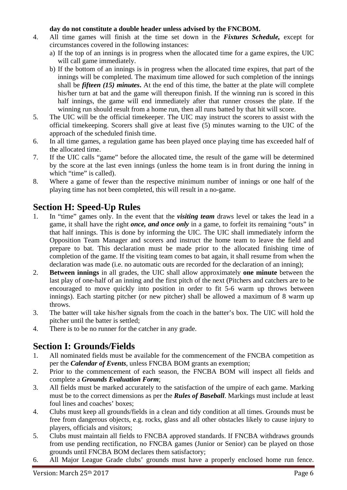#### **day do not constitute a double header unless advised by the FNCBOM.**

- 4. All time games will finish at the time set down in the *Fixtures Schedule,* except for circumstances covered in the following instances:
	- a) If the top of an innings is in progress when the allocated time for a game expires, the UIC will call game immediately.
	- b) If the bottom of an innings is in progress when the allocated time expires, that part of the innings will be completed. The maximum time allowed for such completion of the innings shall be *fifteen (15) minutes***.** At the end of this time, the batter at the plate will complete his/her turn at bat and the game will thereupon finish. If the winning run is scored in this half innings, the game will end immediately after that runner crosses the plate. If the winning run should result from a home run, then all runs batted by that hit will score.
- 5. The UIC will be the official timekeeper. The UIC may instruct the scorers to assist with the official timekeeping. Scorers shall give at least five (5) minutes warning to the UIC of the approach of the scheduled finish time.
- 6. In all time games, a regulation game has been played once playing time has exceeded half of the allocated time.
- 7. If the UIC calls "game" before the allocated time, the result of the game will be determined by the score at the last even innings (unless the home team is in front during the inning in which "time" is called).
- 8. Where a game of fewer than the respective minimum number of innings or one half of the playing time has not been completed, this will result in a no-game.

# **Section H: Speed-Up Rules**

- 1. In "time" games only. In the event that the *visiting team* draws level or takes the lead in a game, it shall have the right *once, and once only* in a game, to forfeit its remaining "outs" in that half innings. This is done by informing the UIC. The UIC shall immediately inform the Opposition Team Manager and scorers and instruct the home team to leave the field and prepare to bat. This declaration must be made prior to the allocated finishing time of completion of the game. If the visiting team comes to bat again, it shall resume from when the declaration was made (*i.e.* no automatic outs are recorded for the declaration of an inning):
- 2. **Between innings** in all grades, the UIC shall allow approximately **one minute** between the last play of one-half of an inning and the first pitch of the next (Pitchers and catchers are to be encouraged to move quickly into position in order to fit 5-6 warm up throws between innings). Each starting pitcher (or new pitcher) shall be allowed a maximum of 8 warm up throws.
- 3. The batter will take his/her signals from the coach in the batter's box. The UIC will hold the pitcher until the batter is settled;
- 4. There is to be no runner for the catcher in any grade.

# **Section I: Grounds/Fields**

- 1. All nominated fields must be available for the commencement of the FNCBA competition as per the *Calendar of Events*, unless FNCBA BOM grants an exemption;
- 2. Prior to the commencement of each season, the FNCBA BOM will inspect all fields and complete a *Grounds Evaluation Form*;
- 3. All fields must be marked accurately to the satisfaction of the umpire of each game. Marking must be to the correct dimensions as per the *Rules of Baseball*. Markings must include at least foul lines and coaches' boxes;
- 4. Clubs must keep all grounds/fields in a clean and tidy condition at all times. Grounds must be free from dangerous objects, e.g. rocks, glass and all other obstacles likely to cause injury to players, officials and visitors;
- 5. Clubs must maintain all fields to FNCBA approved standards. If FNCBA withdraws grounds from use pending rectification, no FNCBA games (Junior or Senior) can be played on those grounds until FNCBA BOM declares them satisfactory;
- 6. All Major League Grade clubs' grounds must have a properly enclosed home run fence.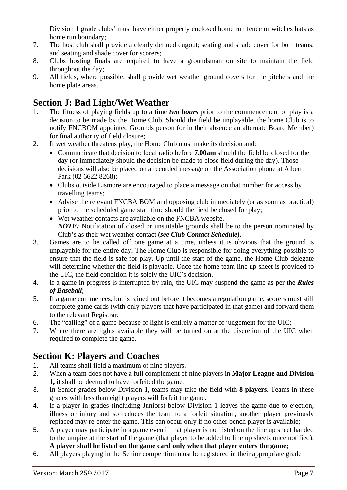Division 1 grade clubs' must have either properly enclosed home run fence or witches hats as home run boundary;

- 7. The host club shall provide a clearly defined dugout; seating and shade cover for both teams, and seating and shade cover for scorers;
- 8. Clubs hosting finals are required to have a groundsman on site to maintain the field throughout the day;
- 9. All fields, where possible, shall provide wet weather ground covers for the pitchers and the home plate areas.

# **Section J: Bad Light/Wet Weather**

- 1. The fitness of playing fields up to a time *two hours* prior to the commencement of play is a decision to be made by the Home Club. Should the field be unplayable, the home Club is to notify FNCBOM appointed Grounds person (or in their absence an alternate Board Member) for final authority of field closure;
- 2. If wet weather threatens play, the Home Club must make its decision and:
	- Communicate that decision to local radio before **7.00am** should the field be closed for the day (or immediately should the decision be made to close field during the day). Those decisions will also be placed on a recorded message on the Association phone at Albert Park (02 6622 8268);
	- Clubs outside Lismore are encouraged to place a message on that number for access by travelling teams;
	- Advise the relevant FNCBA BOM and opposing club immediately (or as soon as practical) prior to the scheduled game start time should the field be closed for play;
	- Wet weather contacts are available on the FNCBA website.  *NOTE:* Notification of closed or unsuitable grounds shall be to the person nominated by Club's as their wet weather contact **(***see Club Contact Schedule***).**
- 3. Games are to be called off one game at a time, unless it is obvious that the ground is unplayable for the entire day; The Home Club is responsible for doing everything possible to ensure that the field is safe for play. Up until the start of the game, the Home Club delegate will determine whether the field is playable. Once the home team line up sheet is provided to the UIC, the field condition it is solely the UIC's decision.
- 4. If a game in progress is interrupted by rain, the UIC may suspend the game as per the *Rules of Baseball*;
- 5. If a game commences, but is rained out before it becomes a regulation game, scorers must still complete game cards (with only players that have participated in that game) and forward them to the relevant Registrar;
- 6. The "calling" of a game because of light is entirely a matter of judgement for the UIC;
- 7. Where there are lights available they will be turned on at the discretion of the UIC when required to complete the game.

# **Section K: Players and Coaches**

- 1. All teams shall field a maximum of nine players.
- 2. When a team does not have a full complement of nine players in **Major League and Division 1,** it shall be deemed to have forfeited the game.
- 3. In Senior grades below Division 1, teams may take the field with **8 players.** Teams in these grades with less than eight players will forfeit the game.
- 4. If a player in grades (including Juniors) below Division 1 leaves the game due to ejection, illness or injury and so reduces the team to a forfeit situation, another player previously replaced may re-enter the game. This can occur only if no other bench player is available;
- 5. A player may participate in a game even if that player is not listed on the line up sheet handed to the umpire at the start of the game (that player to be added to line up sheets once notified). **A player shall be listed on the game card only when that player enters the game;**
- 6. All players playing in the Senior competition must be registered in their appropriate grade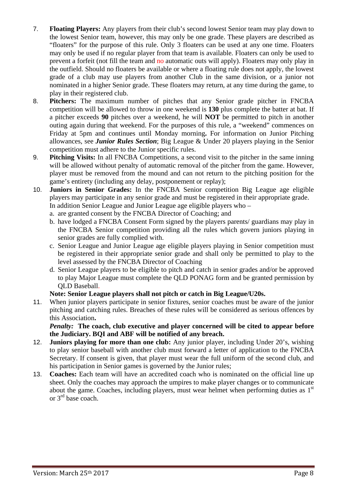- 7. **Floating Players:** Any players from their club's second lowest Senior team may play down to the lowest Senior team, however, this may only be one grade. These players are described as "floaters" for the purpose of this rule. Only 3 floaters can be used at any one time. Floaters may only be used if no regular player from that team is available*.* Floaters can only be used to prevent a forfeit (not fill the team and no automatic outs will apply). Floaters may only play in the outfield. Should no floaters be available or where a floating rule does not apply, the lowest grade of a club may use players from another Club in the same division, or a junior not nominated in a higher Senior grade. These floaters may return, at any time during the game, to play in their registered club.
- 8. **Pitchers:** The maximum number of pitches that any Senior grade pitcher in FNCBA competition will be allowed to throw in one weekend is **130** plus complete the batter at bat. If a pitcher exceeds **90** pitches over a weekend, he will **NOT** be permitted to pitch in another outing again during that weekend. For the purposes of this rule, a "weekend" commences on Friday at 5pm and continues until Monday morning**.** For information on Junior Pitching allowances, see *Junior Rules Section*; Big League & Under 20 players playing in the Senior competition must adhere to the Junior specific rules.
- 9. **Pitching Visits:** In all FNCBA Competitions, a second visit to the pitcher in the same inning will be allowed without penalty of automatic removal of the pitcher from the game. However, player must be removed from the mound and can not return to the pitching position for the game's entirety (including any delay, postponement or replay);
- 10. **Juniors in Senior Grades:** In the FNCBA Senior competition Big League age eligible players may participate in any senior grade and must be registered in their appropriate grade. In addition Senior League and Junior League age eligible players who –
	- a. are granted consent by the FNCBA Director of Coaching; and
	- b. have lodged a FNCBA Consent Form signed by the players parents/ guardians may play in the FNCBA Senior competition providing all the rules which govern juniors playing in senior grades are fully complied with.
	- c. Senior League and Junior League age eligible players playing in Senior competition must be registered in their appropriate senior grade and shall only be permitted to play to the level assessed by the FNCBA Director of Coaching
	- d. Senior League players to be eligible to pitch and catch in senior grades and/or be approved to play Major League must complete the QLD PONAG form and be granted permission by QLD Baseball.

#### **Note: Senior League players shall not pitch or catch in Big League/U20s.**

11. When junior players participate in senior fixtures, senior coaches must be aware of the junior pitching and catching rules. Breaches of these rules will be considered as serious offences by this Association**.** 

 *Penalty:* **The coach, club executive and player concerned will be cited to appear before the Judiciary. BQI and ABF will be notified of any breach.**

- 12. **Juniors playing for more than one club:** Any junior player, including Under 20's, wishing to play senior baseball with another club must forward a letter of application to the FNCBA Secretary. If consent is given, that player must wear the full uniform of the second club, and his participation in Senior games is governed by the Junior rules;
- 13. **Coaches:** Each team will have an accredited coach who is nominated on the official line up sheet. Only the coaches may approach the umpires to make player changes or to communicate about the game. Coaches, including players, must wear helmet when performing duties as  $1<sup>st</sup>$ or 3rd base coach.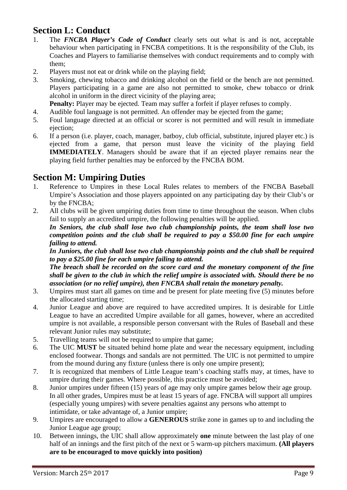# **Section L: Conduct**

- 1. The *FNCBA Player's Code of Conduct* clearly sets out what is and is not, acceptable behaviour when participating in FNCBA competitions. It is the responsibility of the Club, its Coaches and Players to familiarise themselves with conduct requirements and to comply with them;
- 2. Players must not eat or drink while on the playing field;
- 3. Smoking, chewing tobacco and drinking alcohol on the field or the bench are not permitted. Players participating in a game are also not permitted to smoke, chew tobacco or drink alcohol in uniform in the direct vicinity of the playing area;

**Penalty:** Player may be ejected. Team may suffer a forfeit if player refuses to comply.

- 4. Audible foul language is not permitted. An offender may be ejected from the game;
- 5. Foul language directed at an official or scorer is not permitted and will result in immediate ejection:
- 6. If a person (i.e. player, coach, manager, batboy, club official, substitute, injured player etc.) is ejected from a game, that person must leave the vicinity of the playing field **IMMEDIATELY**. Managers should be aware that if an ejected player remains near the playing field further penalties may be enforced by the FNCBA BOM.

# **Section M: Umpiring Duties**

- 1. Reference to Umpires in these Local Rules relates to members of the FNCBA Baseball Umpire's Association and those players appointed on any participating day by their Club's or by the FNCBA;
- 2. All clubs will be given umpiring duties from time to time throughout the season. When clubs fail to supply an accredited umpire, the following penalties will be applied.

 *In Seniors, the club shall lose two club championship points, the team shall lose two competition points and the club shall be required to pay a \$50.00 fine for each umpire failing to attend.* 

 *In Juniors, the club shall lose two club championship points and the club shall be required to pay a \$25.00 fine for each umpire failing to attend.* 

 *The breach shall be recorded on the score card and the monetary component of the fine shall be given to the club in which the relief umpire is associated with. Should there be no association (or no relief umpire), then FNCBA shall retain the monetary penalty.*

- 3. Umpires must start all games on time and be present for plate meeting five (5) minutes before the allocated starting time;
- 4. Junior League and above are required to have accredited umpires. It is desirable for Little League to have an accredited Umpire available for all games, however, where an accredited umpire is not available, a responsible person conversant with the Rules of Baseball and these relevant Junior rules may substitute;
- 5. Travelling teams will not be required to umpire that game;
- 6. The UIC **MUST** be situated behind home plate and wear the necessary equipment, including enclosed footwear. Thongs and sandals are not permitted. The UIC is not permitted to umpire from the mound during any fixture (unless there is only one umpire present);
- 7. It is recognized that members of Little League team's coaching staffs may, at times, have to umpire during their games. Where possible, this practice must be avoided;
- 8. Junior umpires under fifteen (15) years of age may only umpire games below their age group. In all other grades, Umpires must be at least 15 years of age. FNCBA will support all umpires (especially young umpires) with severe penalties against any persons who attempt to intimidate, or take advantage of, a Junior umpire;
- 9. Umpires are encouraged to allow a **GENEROUS** strike zone in games up to and including the Junior League age group;
- 10. Between innings, the UIC shall allow approximately **one** minute between the last play of one half of an innings and the first pitch of the next or 5 warm-up pitchers maximum. **(All players are to be encouraged to move quickly into position)**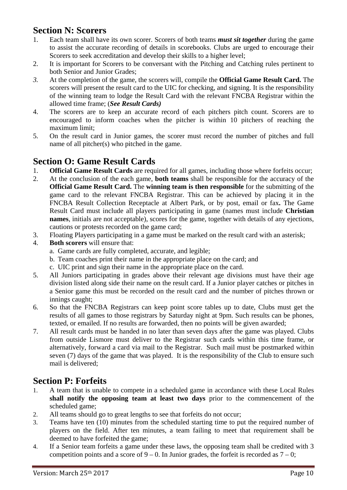# **Section N: Scorers**

- 1. Each team shall have its own scorer. Scorers of both teams *must sit together* during the game to assist the accurate recording of details in scorebooks. Clubs are urged to encourage their Scorers to seek accreditation and develop their skills to a higher level;
- 2. It is important for Scorers to be conversant with the Pitching and Catching rules pertinent to both Senior and Junior Grades;
- *3.* At the completion of the game, the scorers will, compile the **Official Game Result Card.** The scorers will present the result card to the UIC for checking, and signing. It is the responsibility of the winning team to lodge the Result Card with the relevant FNCBA Registrar within the allowed time frame; (*See Result Cards)*
- 4. The scorers are to keep an accurate record of each pitchers pitch count. Scorers are to encouraged to inform coaches when the pitcher is within 10 pitchers of reaching the maximum limit;
- 5. On the result card in Junior games, the scorer must record the number of pitches and full name of all pitcher(s) who pitched in the game.

# **Section O: Game Result Cards**

- 1. **Official Game Result Cards** are required for all games, including those where forfeits occur;
- 2. At the conclusion of the each game, **both teams** shall be responsible for the accuracy of the **Official Game Result Card.** The **winning team is then responsible** for the submitting of the game card to the relevant FNCBA Registrar. This can be achieved by placing it in the FNCBA Result Collection Receptacle at Albert Park, or by post, email or fax**.** The Game Result Card must include all players participating in game (names must include **Christian names**, initials are not acceptable), scores for the game, together with details of any ejections, cautions or protests recorded on the game card;
- 3. Floating Players participating in a game must be marked on the result card with an asterisk;
- 4. **Both scorers** will ensure that:
	- a. Game cards are fully completed, accurate, and legible;
	- b. Team coaches print their name in the appropriate place on the card; and
	- c. UIC print and sign their name in the appropriate place on the card.
- 5. All Juniors participating in grades above their relevant age divisions must have their age division listed along side their name on the result card. If a Junior player catches or pitches in a Senior game this must be recorded on the result card and the number of pitches thrown or innings caught;
- 6. So that the FNCBA Registrars can keep point score tables up to date, Clubs must get the results of all games to those registrars by Saturday night at 9pm. Such results can be phones, texted, or emailed. If no results are forwarded, then no points will be given awarded;
- 7. All result cards must be handed in no later than seven days after the game was played. Clubs from outside Lismore must deliver to the Registrar such cards within this time frame, or alternatively, forward a card via mail to the Registrar. Such mail must be postmarked within seven (7) days of the game that was played. It is the responsibility of the Club to ensure such mail is delivered;

# **Section P: Forfeits**

- 1. A team that is unable to compete in a scheduled game in accordance with these Local Rules **shall notify the opposing team at least two days** prior to the commencement of the scheduled game;
- 2. All teams should go to great lengths to see that forfeits do not occur;
- 3. Teams have ten (10) minutes from the scheduled starting time to put the required number of players on the field. After ten minutes, a team failing to meet that requirement shall be deemed to have forfeited the game;
- 4. If a Senior team forfeits a game under these laws, the opposing team shall be credited with 3 competition points and a score of  $9 - 0$ . In Junior grades, the forfeit is recorded as  $7 - 0$ ;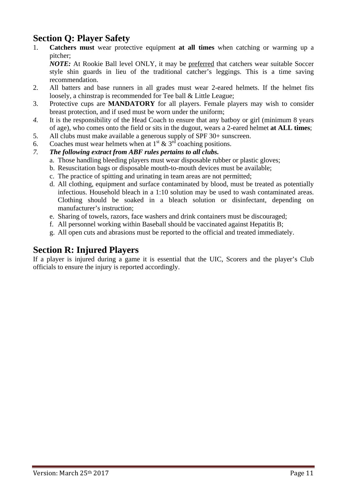# **Section Q: Player Safety**

1. **Catchers must** wear protective equipment **at all times** when catching or warming up a pitcher;

 *NOTE:* At Rookie Ball level ONLY, it may be preferred that catchers wear suitable Soccer style shin guards in lieu of the traditional catcher's leggings. This is a time saving recommendation.

- 2. All batters and base runners in all grades must wear 2-eared helmets. If the helmet fits loosely, a chinstrap is recommended for Tee ball & Little League;
- 3. Protective cups are **MANDATORY** for all players. Female players may wish to consider breast protection, and if used must be worn under the uniform;
- *4.* It is the responsibility of the Head Coach to ensure that any batboy or girl (minimum 8 years of age), who comes onto the field or sits in the dugout, wears a 2-eared helmet **at ALL times**;
- 5. All clubs must make available a generous supply of SPF 30+ sunscreen.
- 6. Coaches must wear helmets when at  $1<sup>st</sup> \& 3<sup>rd</sup>$  coaching positions.
- *7. The following extract from ABF rules pertains to all clubs.* 
	- a. Those handling bleeding players must wear disposable rubber or plastic gloves;
	- b. Resuscitation bags or disposable mouth-to-mouth devices must be available;
	- c. The practice of spitting and urinating in team areas are not permitted;
	- d. All clothing, equipment and surface contaminated by blood, must be treated as potentially infectious. Household bleach in a 1:10 solution may be used to wash contaminated areas. Clothing should be soaked in a bleach solution or disinfectant, depending on manufacturer's instruction;
	- e. Sharing of towels, razors, face washers and drink containers must be discouraged;
	- f. All personnel working within Baseball should be vaccinated against Hepatitis B;
	- g. All open cuts and abrasions must be reported to the official and treated immediately.

# **Section R: Injured Players**

If a player is injured during a game it is essential that the UIC, Scorers and the player's Club officials to ensure the injury is reported accordingly.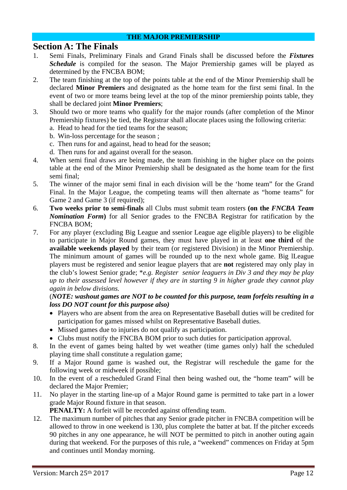#### **THE MAJOR PREMIERSHIP**

#### **Section A: The Finals**

- 1. Semi Finals, Preliminary Finals and Grand Finals shall be discussed before the *Fixtures Schedule* is compiled for the season. The Major Premiership games will be played as determined by the FNCBA BOM;
- 2. The team finishing at the top of the points table at the end of the Minor Premiership shall be declared **Minor Premiers** and designated as the home team for the first semi final. In the event of two or more teams being level at the top of the minor premiership points table, they shall be declared joint **Minor Premiers**;
- 3. Should two or more teams who qualify for the major rounds (after completion of the Minor Premiership fixtures) be tied, the Registrar shall allocate places using the following criteria: a. Head to head for the tied teams for the season;
	- b. Win-loss percentage for the season ;
	- c. Then runs for and against, head to head for the season;
	- d. Then runs for and against overall for the season.
- 4. When semi final draws are being made, the team finishing in the higher place on the points table at the end of the Minor Premiership shall be designated as the home team for the first semi final;
- 5. The winner of the major semi final in each division will be the 'home team" for the Grand Final. In the Major League, the competing teams will then alternate as "home teams" for Game 2 and Game 3 (if required);
- 6. **Two weeks prior to semi-finals** all Clubs must submit team rosters **(on the** *FNCBA Team Nomination Form***)** for all Senior grades to the FNCBA Registrar for ratification by the FNCBA BOM;
- 7. For any player (excluding Big League and ssenior League age eligible players) to be eligible to participate in Major Round games, they must have played in at least **one third** of the **available weekends played** by their team (or registered Division) in the Minor Premiership. The minimum amount of games will be rounded up to the next whole game. Big lLeague players must be registered and senior league players that are **not** registered may only play in the club's lowest Senior grade; \**e.g. Register senior leaguers in Div 3 and they may be play up to their assessed level however if they are in starting 9 in higher grade they cannot play again in below divisions.*

#### (*NOTE: washout games are NOT to be counted for this purpose, team forfeits resulting in a loss DO NOT count for this purpose also)*

- Players who are absent from the area on Representative Baseball duties will be credited for participation for games missed whilst on Representative Baseball duties.
- Missed games due to injuries do not qualify as participation.
- Clubs must notify the FNCBA BOM prior to such duties for participation approval.
- 8. In the event of games being halted by wet weather (time games only) half the scheduled playing time shall constitute a regulation game;
- 9. If a Major Round game is washed out, the Registrar will reschedule the game for the following week or midweek if possible;
- 10. In the event of a rescheduled Grand Final then being washed out, the "home team" will be declared the Major Premier;
- 11. No player in the starting line-up of a Major Round game is permitted to take part in a lower grade Major Round fixture in that season.

**PENALTY:** A forfeit will be recorded against offending team.

12. The maximum number of pitches that any Senior grade pitcher in FNCBA competition will be allowed to throw in one weekend is 130, plus complete the batter at bat. If the pitcher exceeds 90 pitches in any one appearance, he will NOT be permitted to pitch in another outing again during that weekend. For the purposes of this rule, a "weekend" commences on Friday at 5pm and continues until Monday morning.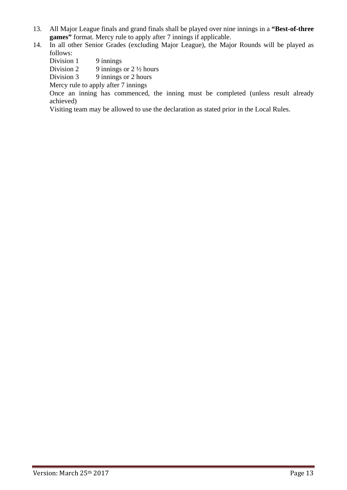- 13. All Major League finals and grand finals shall be played over nine innings in a **"Best-of-three games**" format. Mercy rule to apply after 7 innings if applicable.
- 14. In all other Senior Grades (excluding Major League), the Major Rounds will be played as follows:
	- Division 1 9 innings
	- Division 2 9 innings or  $2\frac{1}{2}$  hours
	- Division  $3 \qquad$  9 innings or 2 hours
	- Mercy rule to apply after 7 innings

 Once an inning has commenced, the inning must be completed (unless result already achieved)

Visiting team may be allowed to use the declaration as stated prior in the Local Rules.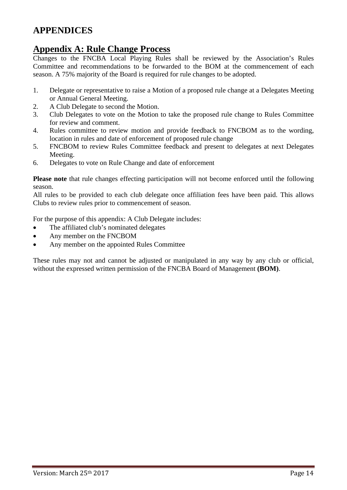# **APPENDICES**

### **Appendix A: Rule Change Process**

Changes to the FNCBA Local Playing Rules shall be reviewed by the Association's Rules Committee and recommendations to be forwarded to the BOM at the commencement of each season. A 75% majority of the Board is required for rule changes to be adopted.

- 1. Delegate or representative to raise a Motion of a proposed rule change at a Delegates Meeting or Annual General Meeting.
- 2. A Club Delegate to second the Motion.
- 3. Club Delegates to vote on the Motion to take the proposed rule change to Rules Committee for review and comment.
- 4. Rules committee to review motion and provide feedback to FNCBOM as to the wording, location in rules and date of enforcement of proposed rule change
- 5. FNCBOM to review Rules Committee feedback and present to delegates at next Delegates Meeting.
- 6. Delegates to vote on Rule Change and date of enforcement

**Please note** that rule changes effecting participation will not become enforced until the following season.

All rules to be provided to each club delegate once affiliation fees have been paid. This allows Clubs to review rules prior to commencement of season.

For the purpose of this appendix: A Club Delegate includes:

- The affiliated club's nominated delegates
- Any member on the FNCBOM
- Any member on the appointed Rules Committee

These rules may not and cannot be adjusted or manipulated in any way by any club or official, without the expressed written permission of the FNCBA Board of Management **(BOM)**.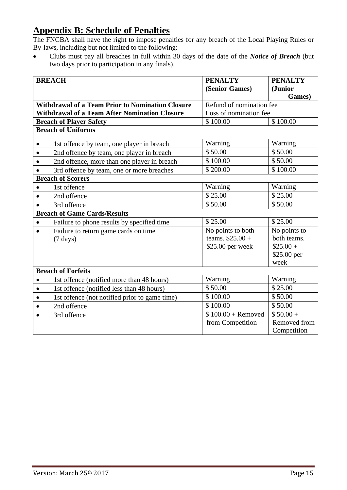# **Appendix B: Schedule of Penalties**

The FNCBA shall have the right to impose penalties for any breach of the Local Playing Rules or By-laws, including but not limited to the following:

 Clubs must pay all breaches in full within 30 days of the date of the *Notice of Breach* (but two days prior to participation in any finals).

|           | <b>BREACH</b>                                           | <b>PENALTY</b>           | <b>PENALTY</b> |
|-----------|---------------------------------------------------------|--------------------------|----------------|
|           |                                                         | (Senior Games)           | (Junior        |
|           |                                                         |                          | Games)         |
|           | <b>Withdrawal of a Team Prior to Nomination Closure</b> | Refund of nomination fee |                |
|           | <b>Withdrawal of a Team After Nomination Closure</b>    | Loss of nomination fee   |                |
|           | <b>Breach of Player Safety</b>                          | \$100.00                 | \$100.00       |
|           | <b>Breach of Uniforms</b>                               |                          |                |
| $\bullet$ | 1st offence by team, one player in breach               | Warning                  | Warning        |
| $\bullet$ | 2nd offence by team, one player in breach               | \$50.00                  | \$50.00        |
| $\bullet$ | 2nd offence, more than one player in breach             | \$100.00                 | \$50.00        |
| $\bullet$ | 3rd offence by team, one or more breaches               | \$200.00                 | \$100.00       |
|           | <b>Breach of Scorers</b>                                |                          |                |
| $\bullet$ | 1st offence                                             | Warning                  | Warning        |
| $\bullet$ | 2nd offence                                             | \$25.00                  | \$25.00        |
| $\bullet$ | 3rd offence                                             | \$50.00                  | \$50.00        |
|           | <b>Breach of Game Cards/Results</b>                     |                          |                |
| $\bullet$ | Failure to phone results by specified time              | \$25.00                  | \$25.00        |
| $\bullet$ | Failure to return game cards on time                    | No points to both        | No points to   |
|           | $(7 \text{ days})$                                      | teams. $$25.00 +$        | both teams.    |
|           |                                                         | \$25.00 per week         | $$25.00 +$     |
|           |                                                         |                          | \$25.00 per    |
|           |                                                         |                          | week           |
|           | <b>Breach of Forfeits</b>                               |                          |                |
| $\bullet$ | 1st offence (notified more than 48 hours)               | Warning                  | Warning        |
| $\bullet$ | 1st offence (notified less than 48 hours)               | \$50.00                  | \$25.00        |
| $\bullet$ | 1st offence (not notified prior to game time)           | \$100.00                 | \$50.00        |
| $\bullet$ | 2nd offence                                             | \$100.00                 | \$50.00        |
|           | 3rd offence                                             | $$100.00 +$ Removed      | $$50.00+$      |
|           |                                                         | from Competition         | Removed from   |
|           |                                                         |                          | Competition    |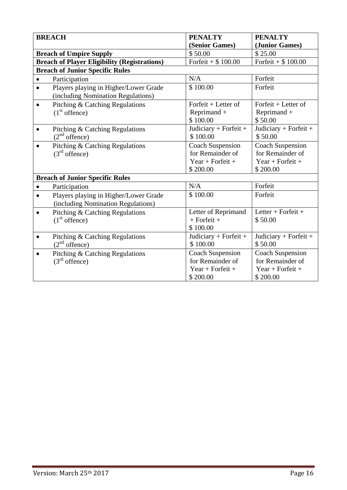| <b>BREACH</b>                                                                            | <b>PENALTY</b>          | <b>PENALTY</b>          |
|------------------------------------------------------------------------------------------|-------------------------|-------------------------|
|                                                                                          | (Senior Games)          | (Junior Games)          |
| <b>Breach of Umpire Supply</b>                                                           | \$50.00                 | \$25.00                 |
| <b>Breach of Player Eligibility (Registrations)</b>                                      | Forfeit + $$100.00$     | Forfeit + $$100.00$     |
| <b>Breach of Junior Specific Rules</b>                                                   |                         |                         |
| Participation<br>$\bullet$                                                               | N/A                     | Forfeit                 |
| Players playing in Higher/Lower Grade<br>$\bullet$<br>(including Nomination Regulations) | \$100.00                | Forfeit                 |
| Pitching & Catching Regulations<br>$\bullet$                                             | Forfeit $+$ Letter of   | Forfeit $+$ Letter of   |
| $(1st$ offence)                                                                          | Reprimand +             | Reprimand +             |
|                                                                                          | \$100.00                | \$50.00                 |
| Pitching & Catching Regulations<br>$\bullet$                                             | Judiciary + Forfeit +   | Judiciary + Forfeit +   |
| $(2nd$ offence)                                                                          | \$100.00                | \$50.00                 |
| Pitching & Catching Regulations<br>$\bullet$                                             | <b>Coach Suspension</b> | <b>Coach Suspension</b> |
| $(3rd$ offence)                                                                          | for Remainder of        | for Remainder of        |
|                                                                                          | Year + Forfeit +        | Year + Forfeit +        |
|                                                                                          | \$200.00                | \$200.00                |
| <b>Breach of Junior Specific Rules</b>                                                   |                         |                         |
| Participation<br>$\bullet$                                                               | N/A                     | Forfeit                 |
| Players playing in Higher/Lower Grade<br>$\bullet$                                       | \$100.00                | Forfeit                 |
| (including Nomination Regulations)                                                       |                         |                         |
| Pitching & Catching Regulations<br>$\bullet$                                             | Letter of Reprimand     | Letter + Forfeit +      |
| $(1st$ offence)                                                                          | $+$ Forfeit $+$         | \$50.00                 |
|                                                                                          | \$100.00                |                         |
| Pitching & Catching Regulations<br>$\bullet$                                             | Judiciary + Forfeit +   | Judiciary + Forfeit +   |
| $(2nd$ offence)                                                                          | \$100.00                | \$50.00                 |
| Pitching & Catching Regulations<br>$\bullet$                                             | <b>Coach Suspension</b> | <b>Coach Suspension</b> |
| $(3rd$ offence)                                                                          | for Remainder of        | for Remainder of        |
|                                                                                          | $Year + Forfeit +$      | Year + Forfeit +        |
|                                                                                          | \$200.00                | \$200.00                |